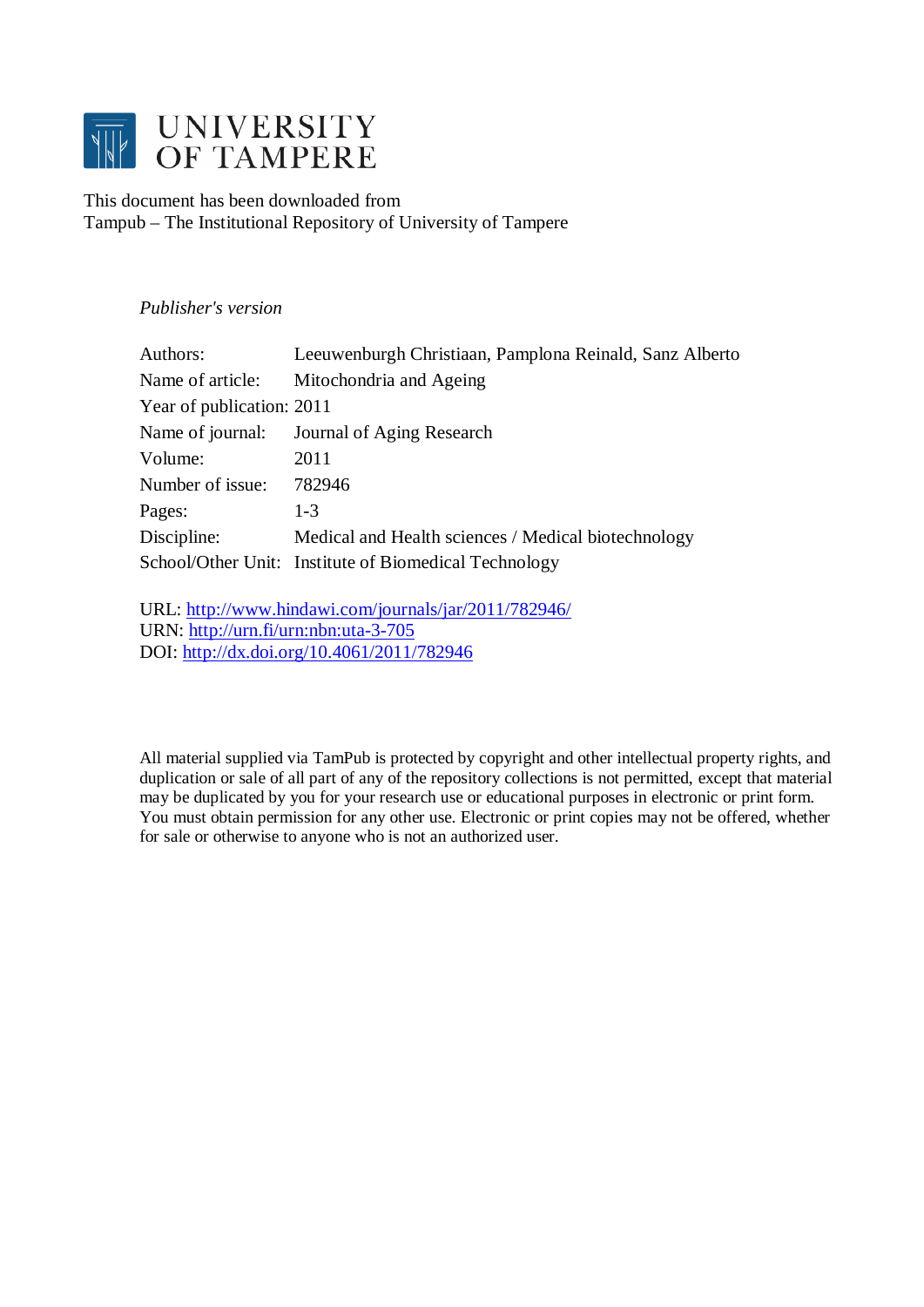

This document has been downloaded from Tampub – The Institutional Repository of University of Tampere

## *Publisher's version*

| Authors:                  | Leeuwenburgh Christiaan, Pamplona Reinald, Sanz Alberto |
|---------------------------|---------------------------------------------------------|
| Name of article:          | Mitochondria and Ageing                                 |
| Year of publication: 2011 |                                                         |
| Name of journal:          | Journal of Aging Research                               |
| Volume:                   | 2011                                                    |
| Number of issue:          | 782946                                                  |
| Pages:                    | $1 - 3$                                                 |
| Discipline:               | Medical and Health sciences / Medical biotechnology     |
|                           | School/Other Unit: Institute of Biomedical Technology   |
|                           |                                                         |

URL:<http://www.hindawi.com/journals/jar/2011/782946/> URN: <http://urn.fi/urn:nbn:uta-3-705> DOI: <http://dx.doi.org/10.4061/2011/782946>

All material supplied via TamPub is protected by copyright and other intellectual property rights, and duplication or sale of all part of any of the repository collections is not permitted, except that material may be duplicated by you for your research use or educational purposes in electronic or print form. You must obtain permission for any other use. Electronic or print copies may not be offered, whether for sale or otherwise to anyone who is not an authorized user.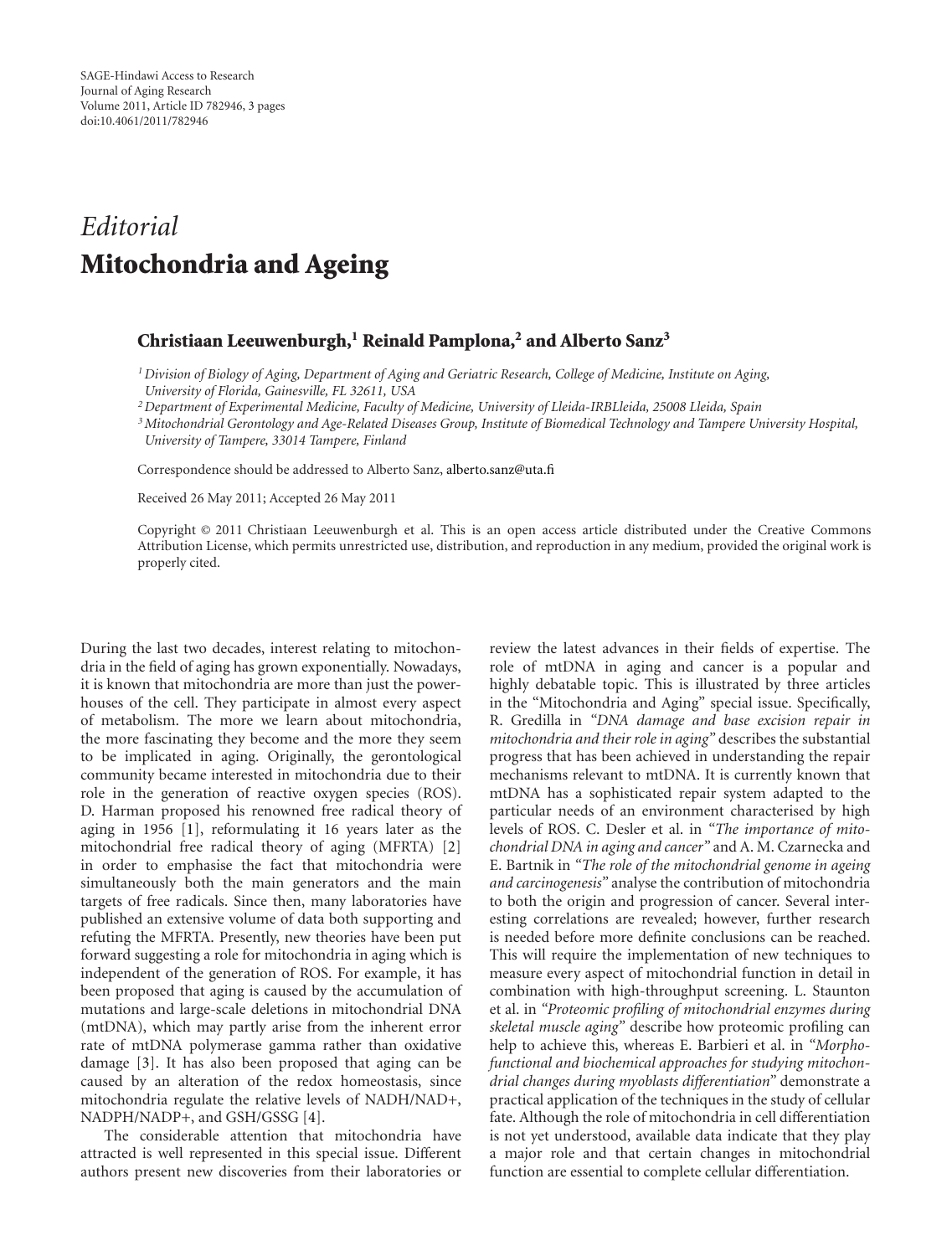## *Editorial* **Mitochondria and Ageing**

## **Christiaan Leeuwenburgh,1 Reinald Pamplona,2 and Alberto Sanz3**

*1Division of Biology of Aging, Department of Aging and Geriatric Research, College of Medicine, Institute on Aging, University of Florida, Gainesville, FL 32611, USA*

*2Department of Experimental Medicine, Faculty of Medicine, University of Lleida-IRBLleida, 25008 Lleida, Spain*

*3Mitochondrial Gerontology and Age-Related Diseases Group, Institute of Biomedical Technology and Tampere University Hospital, University of Tampere, 33014 Tampere, Finland*

Correspondence should be addressed to Alberto Sanz, alberto.sanz@uta.fi

Received 26 May 2011; Accepted 26 May 2011

Copyright © 2011 Christiaan Leeuwenburgh et al. This is an open access article distributed under the Creative Commons Attribution License, which permits unrestricted use, distribution, and reproduction in any medium, provided the original work is properly cited.

During the last two decades, interest relating to mitochondria in the field of aging has grown exponentially. Nowadays, it is known that mitochondria are more than just the powerhouses of the cell. They participate in almost every aspect of metabolism. The more we learn about mitochondria, the more fascinating they become and the more they seem to be implicated in aging. Originally, the gerontological community became interested in mitochondria due to their role in the generation of reactive oxygen species (ROS). D. Harman proposed his renowned free radical theory of aging in 1956 [1], reformulating it 16 years later as the mitochondrial free radical theory of aging (MFRTA) [2] in order to emphasise the fact that mitochondria were simultaneously both the main generators and the main targets of free radicals. Since then, many laboratories have published an extensive volume of data both supporting and refuting the MFRTA. Presently, new theories have been put forward suggesting a role for mitochondria in aging which is independent of the generation of ROS. For example, it has been proposed that aging is caused by the accumulation of mutations and large-scale deletions in mitochondrial DNA (mtDNA), which may partly arise from the inherent error rate of mtDNA polymerase gamma rather than oxidative damage [3]. It has also been proposed that aging can be caused by an alteration of the redox homeostasis, since mitochondria regulate the relative levels of NADH/NAD+, NADPH/NADP+, and GSH/GSSG [4].

The considerable attention that mitochondria have attracted is well represented in this special issue. Different authors present new discoveries from their laboratories or review the latest advances in their fields of expertise. The role of mtDNA in aging and cancer is a popular and highly debatable topic. This is illustrated by three articles in the "Mitochondria and Aging" special issue. Specifically, R. Gredilla in *"DNA damage and base excision repair in mitochondria and their role in aging"* describes the substantial progress that has been achieved in understanding the repair mechanisms relevant to mtDNA. It is currently known that mtDNA has a sophisticated repair system adapted to the particular needs of an environment characterised by high levels of ROS. C. Desler et al. in *"The importance of mitochondrial DNA in aging and cancer"* and A. M. Czarnecka and E. Bartnik in *"The role of the mitochondrial genome in ageing and carcinogenesis"* analyse the contribution of mitochondria to both the origin and progression of cancer. Several interesting correlations are revealed; however, further research is needed before more definite conclusions can be reached. This will require the implementation of new techniques to measure every aspect of mitochondrial function in detail in combination with high-throughput screening. L. Staunton et al. in *"Proteomic profiling of mitochondrial enzymes during skeletal muscle aging"* describe how proteomic profiling can help to achieve this, whereas E. Barbieri et al. in *"Morphofunctional and biochemical approaches for studying mitochondrial changes during myoblasts differentiation"* demonstrate a practical application of the techniques in the study of cellular fate. Although the role of mitochondria in cell differentiation is not yet understood, available data indicate that they play a major role and that certain changes in mitochondrial function are essential to complete cellular differentiation.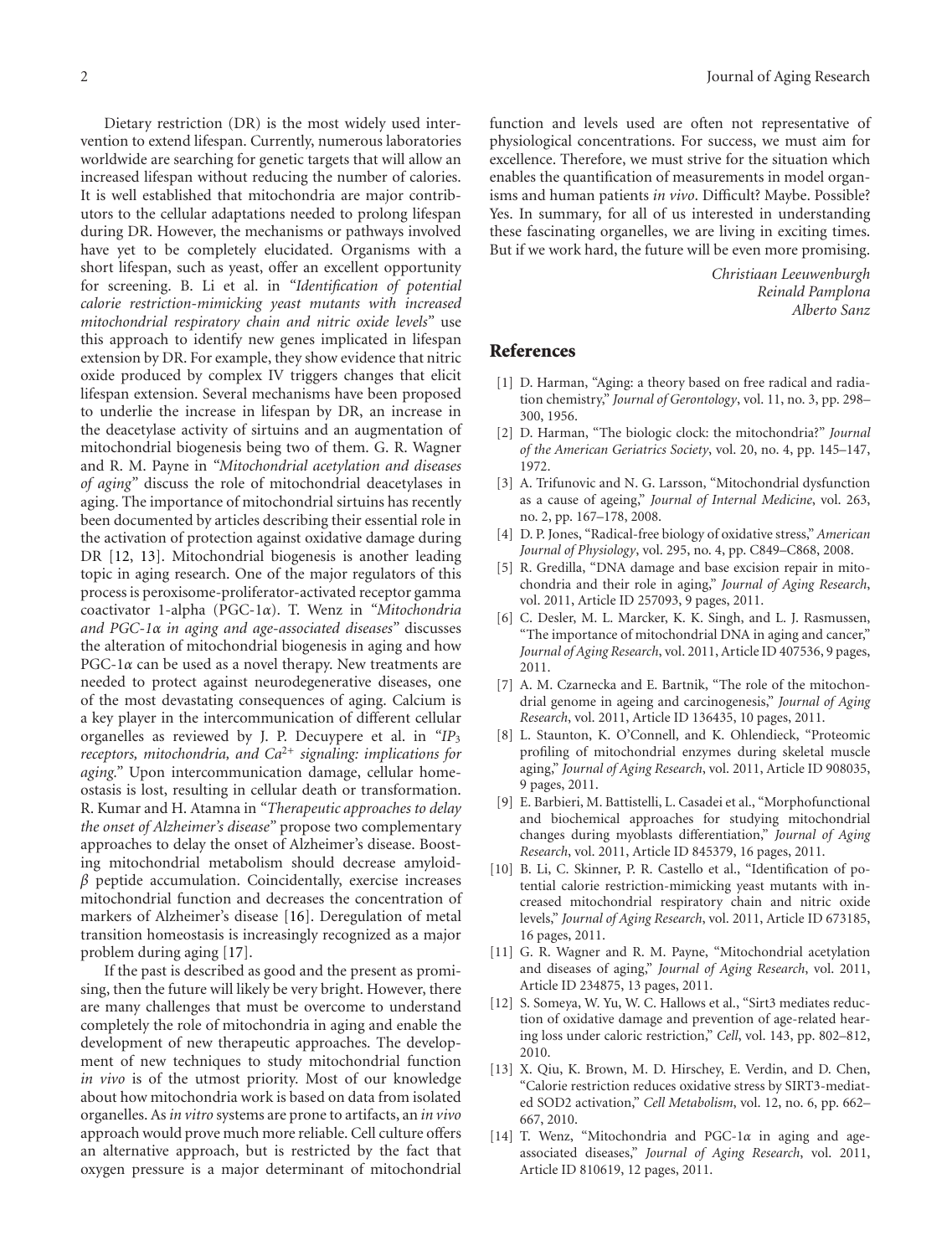Dietary restriction (DR) is the most widely used intervention to extend lifespan. Currently, numerous laboratories worldwide are searching for genetic targets that will allow an increased lifespan without reducing the number of calories. It is well established that mitochondria are major contributors to the cellular adaptations needed to prolong lifespan during DR. However, the mechanisms or pathways involved have yet to be completely elucidated. Organisms with a short lifespan, such as yeast, offer an excellent opportunity for screening. B. Li et al. in *"Identification of potential calorie restriction-mimicking yeast mutants with increased mitochondrial respiratory chain and nitric oxide levels"* use this approach to identify new genes implicated in lifespan extension by DR. For example, they show evidence that nitric oxide produced by complex IV triggers changes that elicit lifespan extension. Several mechanisms have been proposed to underlie the increase in lifespan by DR, an increase in the deacetylase activity of sirtuins and an augmentation of mitochondrial biogenesis being two of them. G. R. Wagner and R. M. Payne in *"Mitochondrial acetylation and diseases of aging"* discuss the role of mitochondrial deacetylases in aging. The importance of mitochondrial sirtuins has recently been documented by articles describing their essential role in the activation of protection against oxidative damage during DR [12, 13]. Mitochondrial biogenesis is another leading topic in aging research. One of the major regulators of this process is peroxisome-proliferator-activated receptor gamma coactivator 1-alpha (PGC-1*α*). T. Wenz in *"Mitochondria and PGC-1α in aging and age-associated diseases"* discusses the alteration of mitochondrial biogenesis in aging and how PGC-1 $α$  can be used as a novel therapy. New treatments are needed to protect against neurodegenerative diseases, one of the most devastating consequences of aging. Calcium is a key player in the intercommunication of different cellular organelles as reviewed by J. P. Decuypere et al. in *"IP*<sup>3</sup> *receptors, mitochondria, and Ca*2+ *signaling: implications for aging."* Upon intercommunication damage, cellular homeostasis is lost, resulting in cellular death or transformation. R. Kumar and H. Atamna in *"Therapeutic approaches to delay the onset of Alzheimer's disease"* propose two complementary approaches to delay the onset of Alzheimer's disease. Boosting mitochondrial metabolism should decrease amyloid*β* peptide accumulation. Coincidentally, exercise increases mitochondrial function and decreases the concentration of markers of Alzheimer's disease [16]. Deregulation of metal transition homeostasis is increasingly recognized as a major problem during aging [17].

If the past is described as good and the present as promising, then the future will likely be very bright. However, there are many challenges that must be overcome to understand completely the role of mitochondria in aging and enable the development of new therapeutic approaches. The development of new techniques to study mitochondrial function *in vivo* is of the utmost priority. Most of our knowledge about how mitochondria work is based on data from isolated organelles. As *in vitro* systems are prone to artifacts, an *in vivo* approach would prove much more reliable. Cell culture offers an alternative approach, but is restricted by the fact that oxygen pressure is a major determinant of mitochondrial

function and levels used are often not representative of physiological concentrations. For success, we must aim for excellence. Therefore, we must strive for the situation which enables the quantification of measurements in model organisms and human patients *in vivo*. Difficult? Maybe. Possible? Yes. In summary, for all of us interested in understanding these fascinating organelles, we are living in exciting times. But if we work hard, the future will be even more promising.

> *Christiaan Leeuwenburgh Reinald Pamplona Alberto Sanz*

## **References**

- [1] D. Harman, "Aging: a theory based on free radical and radiation chemistry," *Journal of Gerontology*, vol. 11, no. 3, pp. 298– 300, 1956.
- [2] D. Harman, "The biologic clock: the mitochondria?" *Journal of the American Geriatrics Society*, vol. 20, no. 4, pp. 145–147, 1972.
- [3] A. Trifunovic and N. G. Larsson, "Mitochondrial dysfunction as a cause of ageing," *Journal of Internal Medicine*, vol. 263, no. 2, pp. 167–178, 2008.
- [4] D. P. Jones, "Radical-free biology of oxidative stress," *American Journal of Physiology*, vol. 295, no. 4, pp. C849–C868, 2008.
- [5] R. Gredilla, "DNA damage and base excision repair in mitochondria and their role in aging," *Journal of Aging Research*, vol. 2011, Article ID 257093, 9 pages, 2011.
- [6] C. Desler, M. L. Marcker, K. K. Singh, and L. J. Rasmussen, "The importance of mitochondrial DNA in aging and cancer," *Journal of Aging Research*, vol. 2011, Article ID 407536, 9 pages, 2011.
- [7] A. M. Czarnecka and E. Bartnik, "The role of the mitochondrial genome in ageing and carcinogenesis," *Journal of Aging Research*, vol. 2011, Article ID 136435, 10 pages, 2011.
- [8] L. Staunton, K. O'Connell, and K. Ohlendieck, "Proteomic profiling of mitochondrial enzymes during skeletal muscle aging," *Journal of Aging Research*, vol. 2011, Article ID 908035, 9 pages, 2011.
- [9] E. Barbieri, M. Battistelli, L. Casadei et al., "Morphofunctional and biochemical approaches for studying mitochondrial changes during myoblasts differentiation," *Journal of Aging Research*, vol. 2011, Article ID 845379, 16 pages, 2011.
- [10] B. Li, C. Skinner, P. R. Castello et al., "Identification of potential calorie restriction-mimicking yeast mutants with increased mitochondrial respiratory chain and nitric oxide levels," *Journal of Aging Research*, vol. 2011, Article ID 673185, 16 pages, 2011.
- [11] G. R. Wagner and R. M. Payne, "Mitochondrial acetylation and diseases of aging," *Journal of Aging Research*, vol. 2011, Article ID 234875, 13 pages, 2011.
- [12] S. Someya, W. Yu, W. C. Hallows et al., "Sirt3 mediates reduction of oxidative damage and prevention of age-related hearing loss under caloric restriction," *Cell*, vol. 143, pp. 802–812, 2010.
- [13] X. Qiu, K. Brown, M. D. Hirschey, E. Verdin, and D. Chen, "Calorie restriction reduces oxidative stress by SIRT3-mediated SOD2 activation," *Cell Metabolism*, vol. 12, no. 6, pp. 662– 667, 2010.
- [14] T. Wenz, "Mitochondria and PGC-1*α* in aging and ageassociated diseases," *Journal of Aging Research*, vol. 2011, Article ID 810619, 12 pages, 2011.